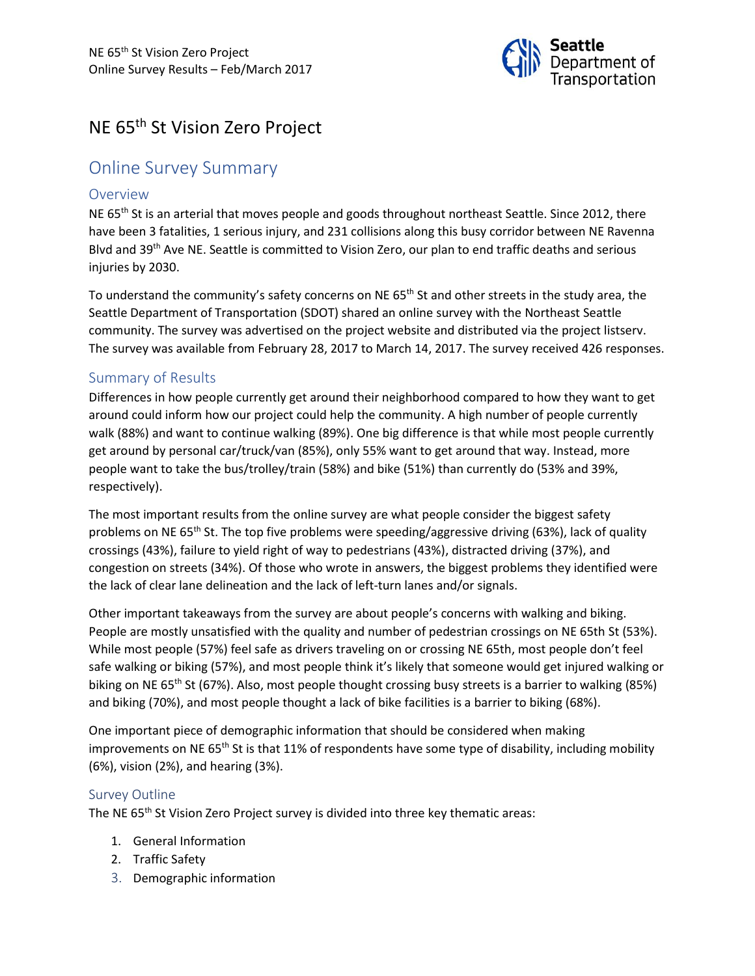

# NE 65th St Vision Zero Project

# Online Survey Summary

## **Overview**

NE 65<sup>th</sup> St is an arterial that moves people and goods throughout northeast Seattle. Since 2012, there have been 3 fatalities, 1 serious injury, and 231 collisions along this busy corridor between NE Ravenna Blvd and 39<sup>th</sup> Ave NE. Seattle is committed to Vision Zero, our plan to end traffic deaths and serious injuries by 2030.

To understand the community's safety concerns on NE 65<sup>th</sup> St and other streets in the study area, the Seattle Department of Transportation (SDOT) shared an online survey with the Northeast Seattle community. The survey was advertised on the project website and distributed via the project listserv. The survey was available from February 28, 2017 to March 14, 2017. The survey received 426 responses.

# Summary of Results

Differences in how people currently get around their neighborhood compared to how they want to get around could inform how our project could help the community. A high number of people currently walk (88%) and want to continue walking (89%). One big difference is that while most people currently get around by personal car/truck/van (85%), only 55% want to get around that way. Instead, more people want to take the bus/trolley/train (58%) and bike (51%) than currently do (53% and 39%, respectively).

The most important results from the online survey are what people consider the biggest safety problems on NE 65<sup>th</sup> St. The top five problems were speeding/aggressive driving (63%), lack of quality crossings (43%), failure to yield right of way to pedestrians (43%), distracted driving (37%), and congestion on streets (34%). Of those who wrote in answers, the biggest problems they identified were the lack of clear lane delineation and the lack of left-turn lanes and/or signals.

Other important takeaways from the survey are about people's concerns with walking and biking. People are mostly unsatisfied with the quality and number of pedestrian crossings on NE 65th St (53%). While most people (57%) feel safe as drivers traveling on or crossing NE 65th, most people don't feel safe walking or biking (57%), and most people think it's likely that someone would get injured walking or biking on NE 65<sup>th</sup> St (67%). Also, most people thought crossing busy streets is a barrier to walking (85%) and biking (70%), and most people thought a lack of bike facilities is a barrier to biking (68%).

One important piece of demographic information that should be considered when making improvements on NE 65<sup>th</sup> St is that 11% of respondents have some type of disability, including mobility (6%), vision (2%), and hearing (3%).

#### Survey Outline

The NE 65<sup>th</sup> St Vision Zero Project survey is divided into three key thematic areas:

- 1. General Information
- 2. Traffic Safety
- 3. Demographic information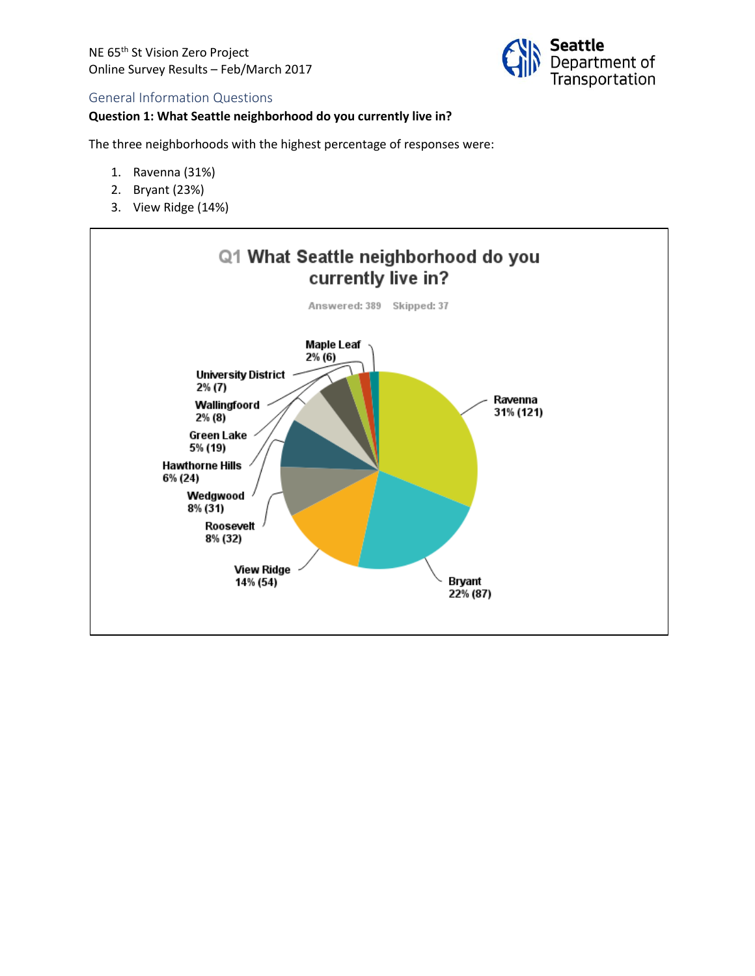

#### General Information Questions

#### **Question 1: What Seattle neighborhood do you currently live in?**

The three neighborhoods with the highest percentage of responses were:

- 1. Ravenna (31%)
- 2. Bryant (23%)
- 3. View Ridge (14%)

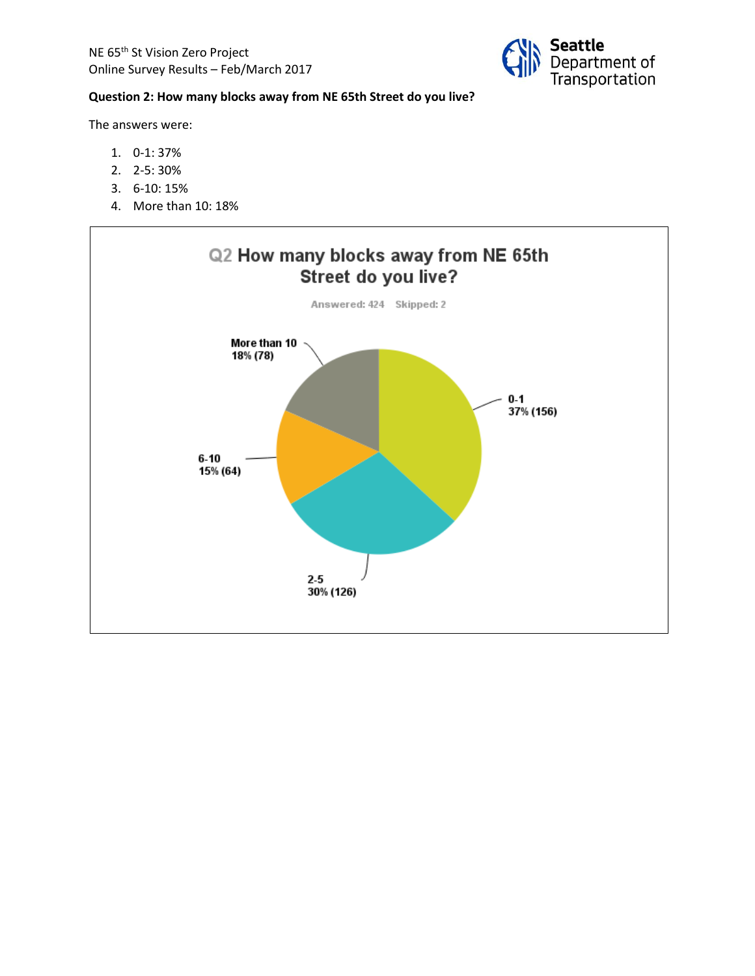

# **Question 2: How many blocks away from NE 65th Street do you live?**

The answers were:

- 1. 0-1: 37%
- 2. 2-5: 30%
- 3. 6-10: 15%
- 4. More than 10: 18%

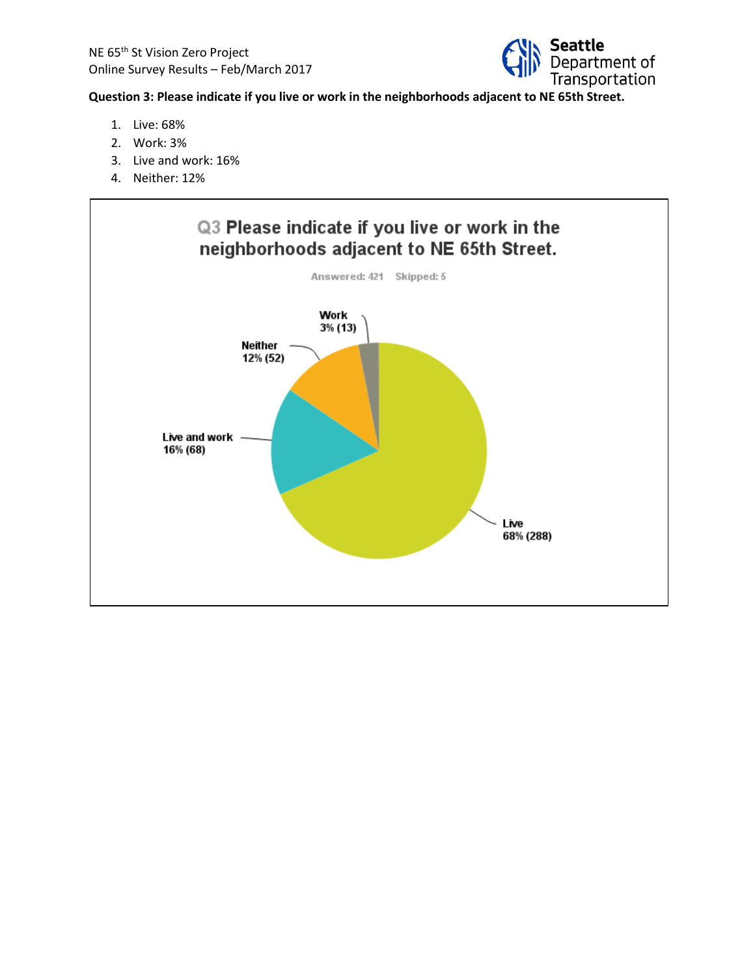

**Question 3: Please indicate if you live or work in the neighborhoods adjacent to NE 65th Street.**

- 1. Live: 68%
- 2. Work: 3%
- 3. Live and work: 16%
- 4. Neither: 12%

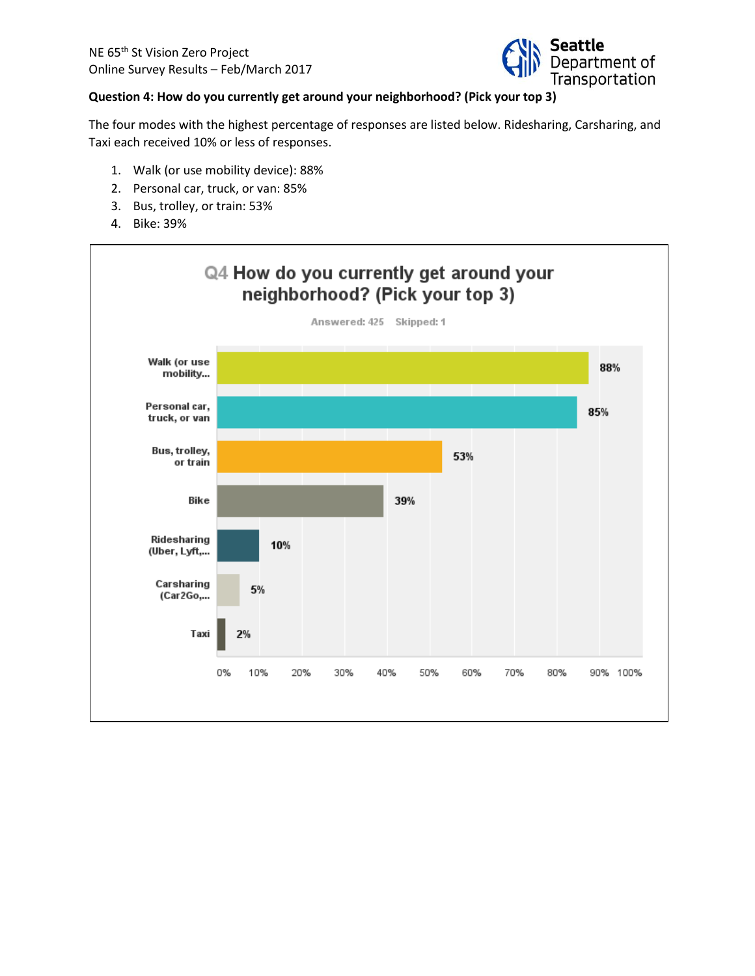

## **Question 4: How do you currently get around your neighborhood? (Pick your top 3)**

The four modes with the highest percentage of responses are listed below. Ridesharing, Carsharing, and Taxi each received 10% or less of responses.

- 1. Walk (or use mobility device): 88%
- 2. Personal car, truck, or van: 85%
- 3. Bus, trolley, or train: 53%
- 4. Bike: 39%

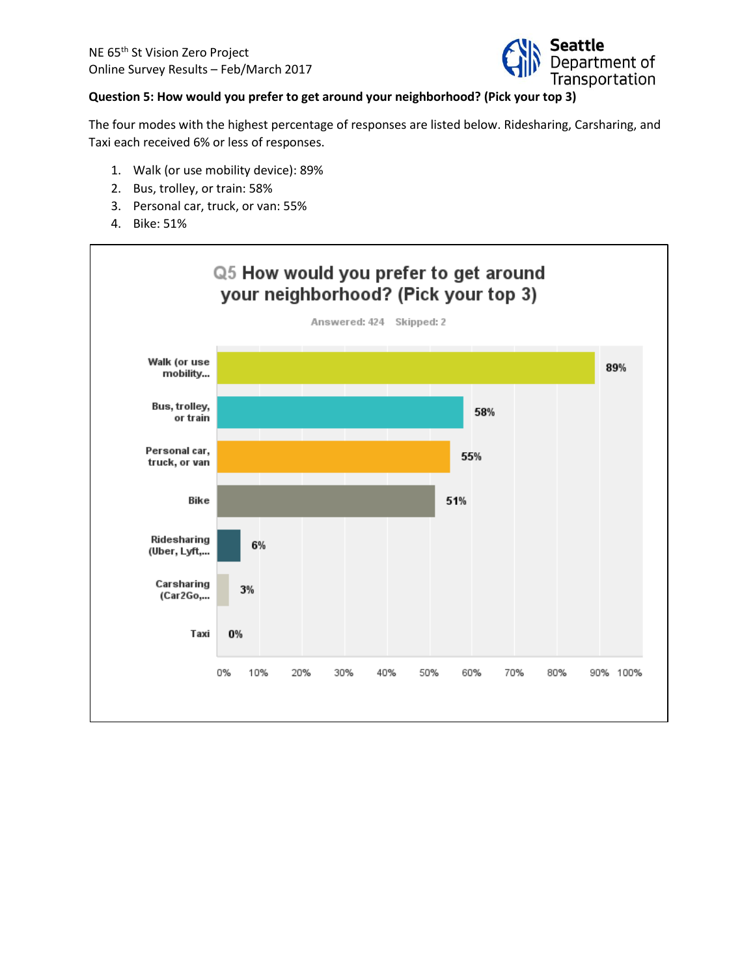

### **Question 5: How would you prefer to get around your neighborhood? (Pick your top 3)**

The four modes with the highest percentage of responses are listed below. Ridesharing, Carsharing, and Taxi each received 6% or less of responses.

- 1. Walk (or use mobility device): 89%
- 2. Bus, trolley, or train: 58%
- 3. Personal car, truck, or van: 55%
- 4. Bike: 51%

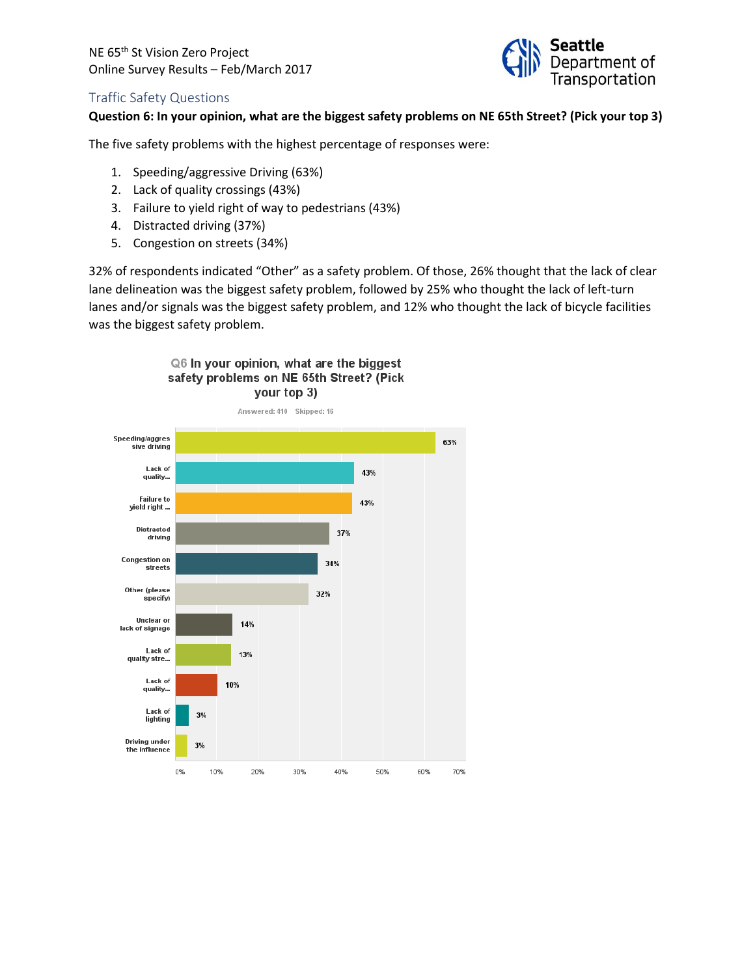

# Traffic Safety Questions

#### **Question 6: In your opinion, what are the biggest safety problems on NE 65th Street? (Pick your top 3)**

The five safety problems with the highest percentage of responses were:

- 1. Speeding/aggressive Driving (63%)
- 2. Lack of quality crossings (43%)
- 3. Failure to yield right of way to pedestrians (43%)
- 4. Distracted driving (37%)
- 5. Congestion on streets (34%)

32% of respondents indicated "Other" as a safety problem. Of those, 26% thought that the lack of clear lane delineation was the biggest safety problem, followed by 25% who thought the lack of left-turn lanes and/or signals was the biggest safety problem, and 12% who thought the lack of bicycle facilities was the biggest safety problem.

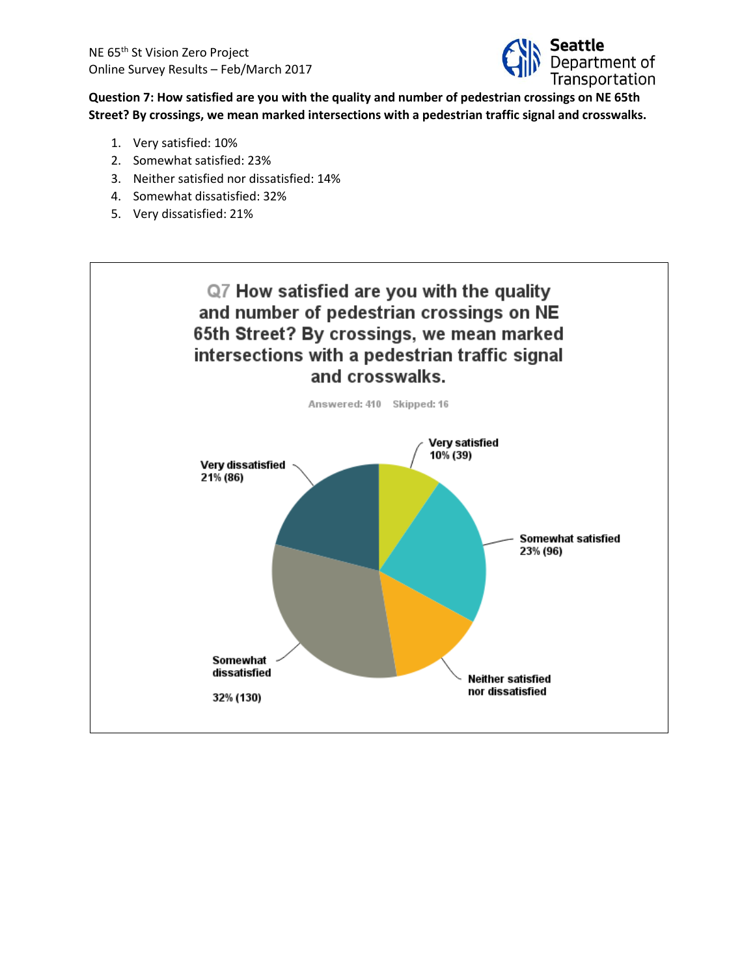

**Question 7: How satisfied are you with the quality and number of pedestrian crossings on NE 65th Street? By crossings, we mean marked intersections with a pedestrian traffic signal and crosswalks.**

- 1. Very satisfied: 10%
- 2. Somewhat satisfied: 23%
- 3. Neither satisfied nor dissatisfied: 14%
- 4. Somewhat dissatisfied: 32%
- 5. Very dissatisfied: 21%

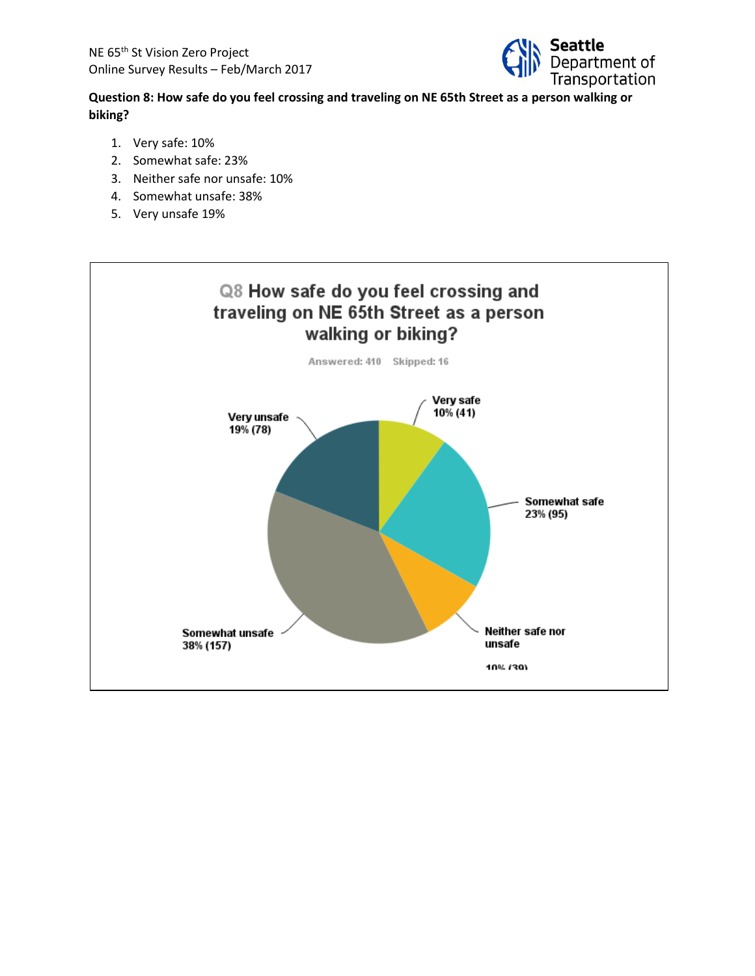

# **Question 8: How safe do you feel crossing and traveling on NE 65th Street as a person walking or biking?**

- 1. Very safe: 10%
- 2. Somewhat safe: 23%
- 3. Neither safe nor unsafe: 10%
- 4. Somewhat unsafe: 38%
- 5. Very unsafe 19%

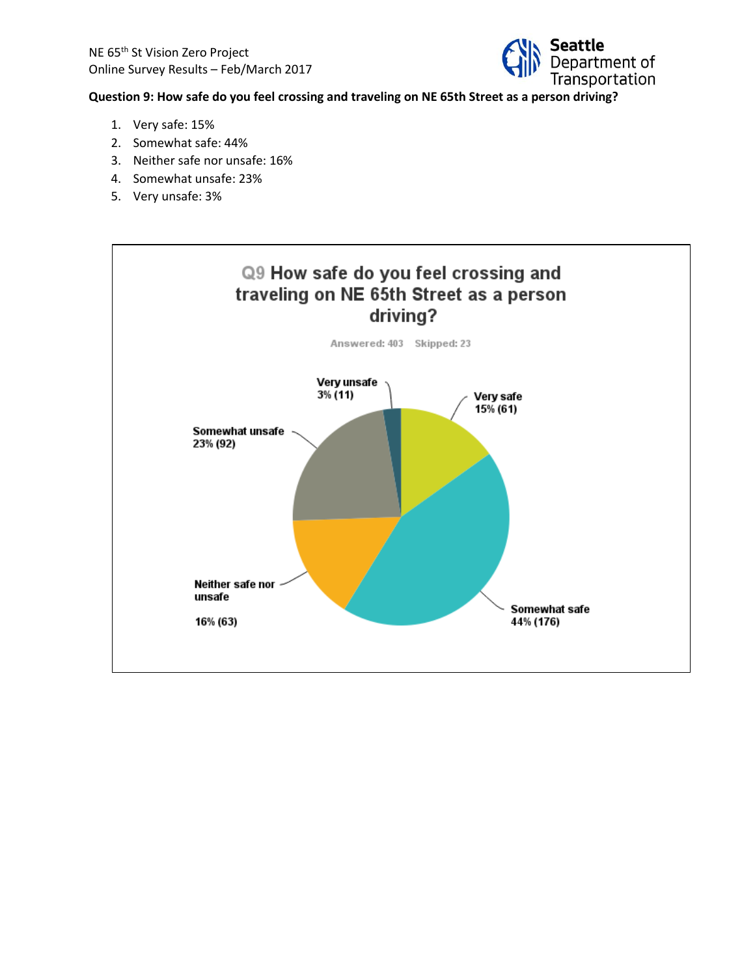

**Question 9: How safe do you feel crossing and traveling on NE 65th Street as a person driving?**

- 1. Very safe: 15%
- 2. Somewhat safe: 44%
- 3. Neither safe nor unsafe: 16%
- 4. Somewhat unsafe: 23%
- 5. Very unsafe: 3%

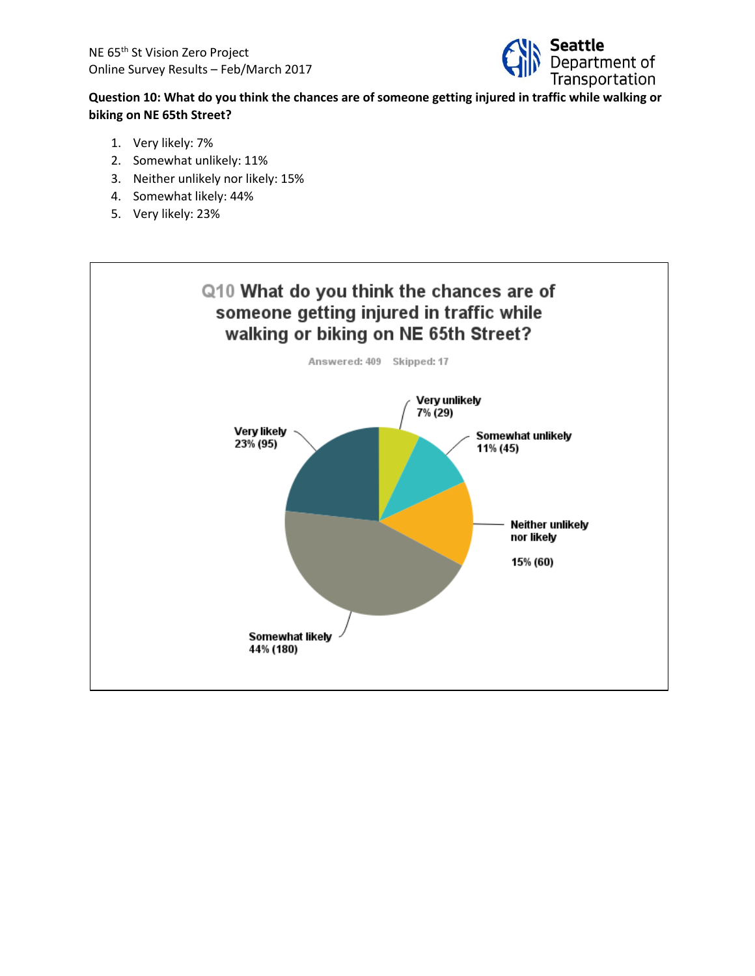

### **Question 10: What do you think the chances are of someone getting injured in traffic while walking or biking on NE 65th Street?**

- 1. Very likely: 7%
- 2. Somewhat unlikely: 11%
- 3. Neither unlikely nor likely: 15%
- 4. Somewhat likely: 44%
- 5. Very likely: 23%

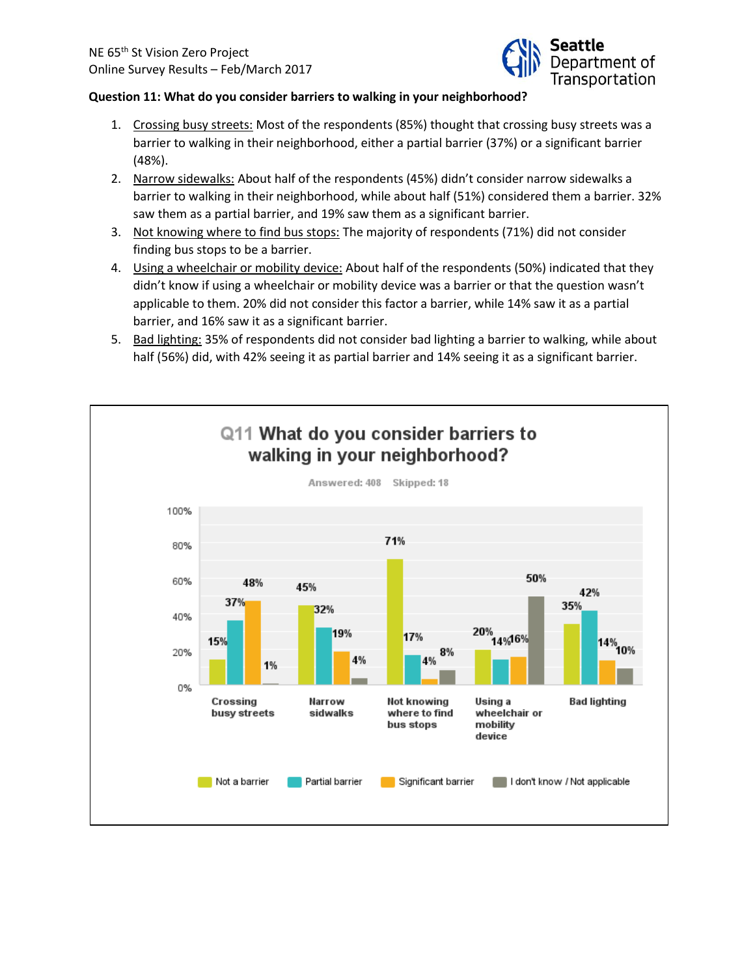

#### **Question 11: What do you consider barriers to walking in your neighborhood?**

- 1. Crossing busy streets: Most of the respondents (85%) thought that crossing busy streets was a barrier to walking in their neighborhood, either a partial barrier (37%) or a significant barrier (48%).
- 2. Narrow sidewalks: About half of the respondents (45%) didn't consider narrow sidewalks a barrier to walking in their neighborhood, while about half (51%) considered them a barrier. 32% saw them as a partial barrier, and 19% saw them as a significant barrier.
- 3. Not knowing where to find bus stops: The majority of respondents (71%) did not consider finding bus stops to be a barrier.
- 4. Using a wheelchair or mobility device: About half of the respondents (50%) indicated that they didn't know if using a wheelchair or mobility device was a barrier or that the question wasn't applicable to them. 20% did not consider this factor a barrier, while 14% saw it as a partial barrier, and 16% saw it as a significant barrier.
- 5. Bad lighting: 35% of respondents did not consider bad lighting a barrier to walking, while about half (56%) did, with 42% seeing it as partial barrier and 14% seeing it as a significant barrier.

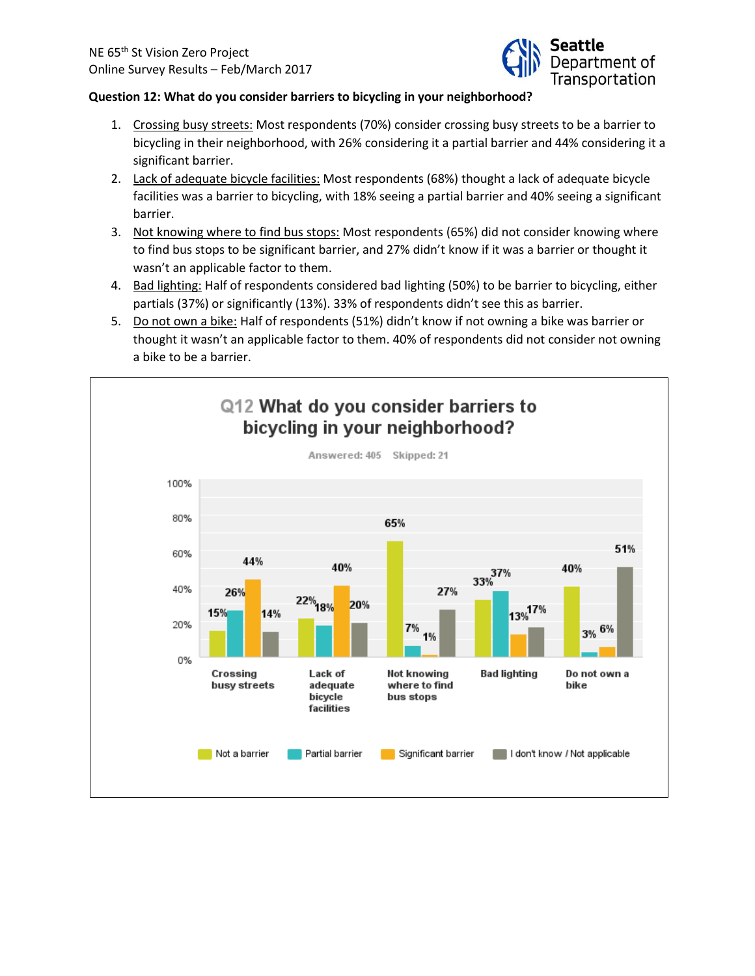

#### **Question 12: What do you consider barriers to bicycling in your neighborhood?**

- 1. Crossing busy streets: Most respondents (70%) consider crossing busy streets to be a barrier to bicycling in their neighborhood, with 26% considering it a partial barrier and 44% considering it a significant barrier.
- 2. Lack of adequate bicycle facilities: Most respondents (68%) thought a lack of adequate bicycle facilities was a barrier to bicycling, with 18% seeing a partial barrier and 40% seeing a significant barrier.
- 3. Not knowing where to find bus stops: Most respondents (65%) did not consider knowing where to find bus stops to be significant barrier, and 27% didn't know if it was a barrier or thought it wasn't an applicable factor to them.
- 4. Bad lighting: Half of respondents considered bad lighting (50%) to be barrier to bicycling, either partials (37%) or significantly (13%). 33% of respondents didn't see this as barrier.
- 5. Do not own a bike: Half of respondents (51%) didn't know if not owning a bike was barrier or thought it wasn't an applicable factor to them. 40% of respondents did not consider not owning a bike to be a barrier.

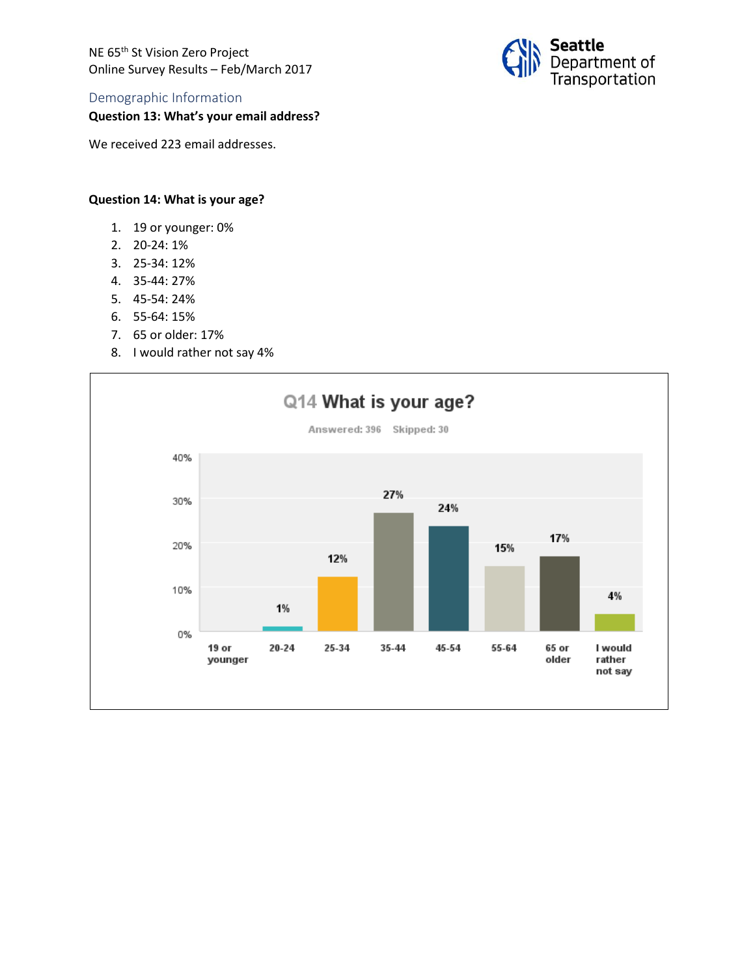NE 65th St Vision Zero Project Online Survey Results – Feb/March 2017



# Demographic Information

### **Question 13: What's your email address?**

We received 223 email addresses.

#### **Question 14: What is your age?**

- 1. 19 or younger: 0%
- 2. 20-24: 1%
- 3. 25-34: 12%
- 4. 35-44: 27%
- 5. 45-54: 24%
- 6. 55-64: 15%
- 7. 65 or older: 17%
- 8. I would rather not say 4%

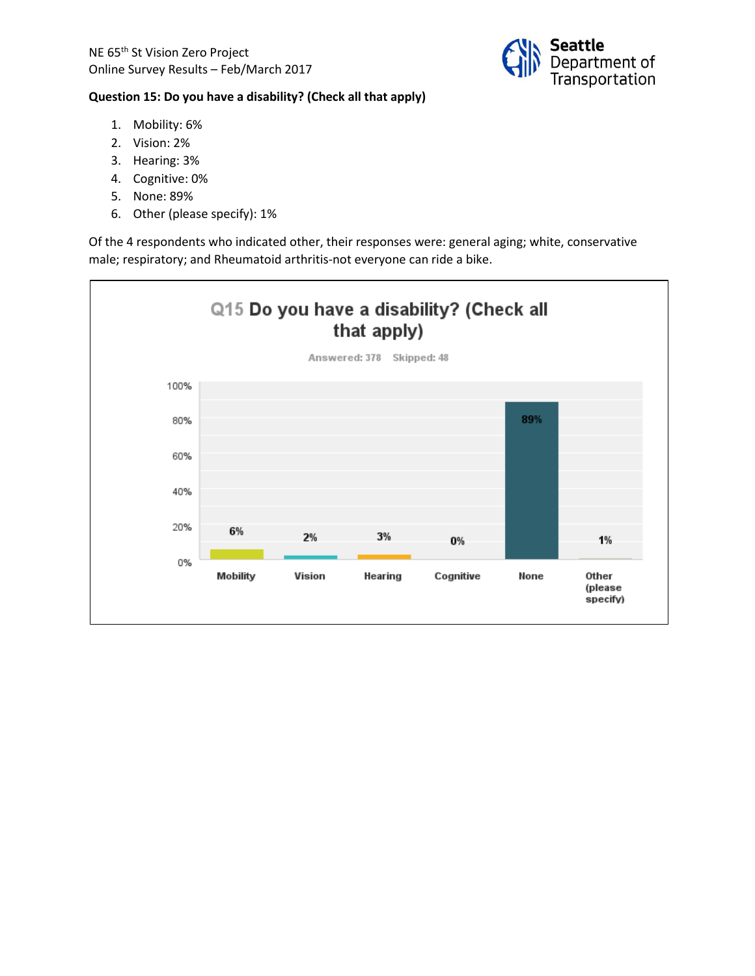

#### **Question 15: Do you have a disability? (Check all that apply)**

- 1. Mobility: 6%
- 2. Vision: 2%
- 3. Hearing: 3%
- 4. Cognitive: 0%
- 5. None: 89%
- 6. Other (please specify): 1%

Of the 4 respondents who indicated other, their responses were: general aging; white, conservative male; respiratory; and Rheumatoid arthritis-not everyone can ride a bike.

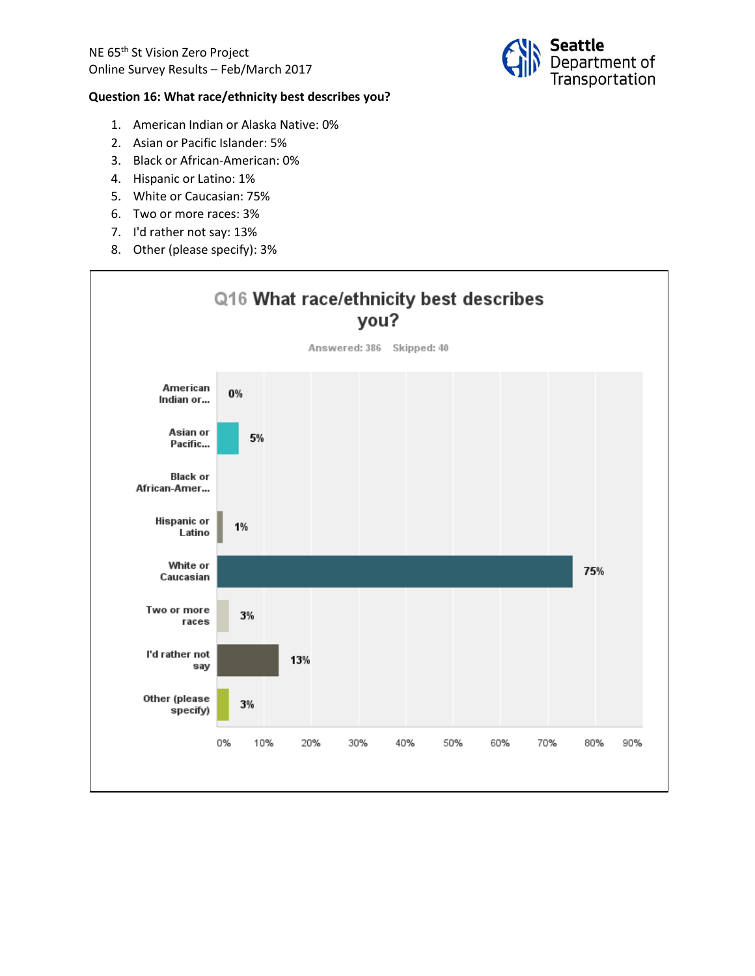

#### **Question 16: What race/ethnicity best describes you?**

- 1. American Indian or Alaska Native: 0%
- 2. Asian or Pacific Islander: 5%
- 3. Black or African-American: 0%
- 4. Hispanic or Latino: 1%
- 5. White or Caucasian: 75%
- 6. Two or more races: 3%
- 7. I'd rather not say: 13%
- 8. Other (please specify): 3%

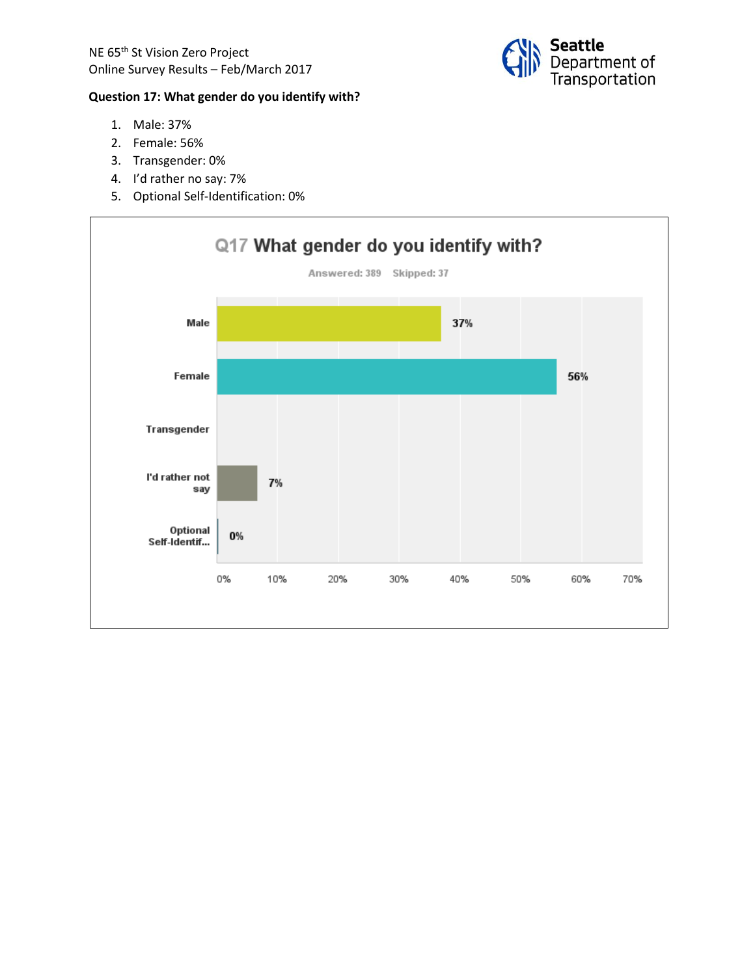

## **Question 17: What gender do you identify with?**

- 1. Male: 37%
- 2. Female: 56%
- 3. Transgender: 0%
- 4. I'd rather no say: 7%
- 5. Optional Self-Identification: 0%

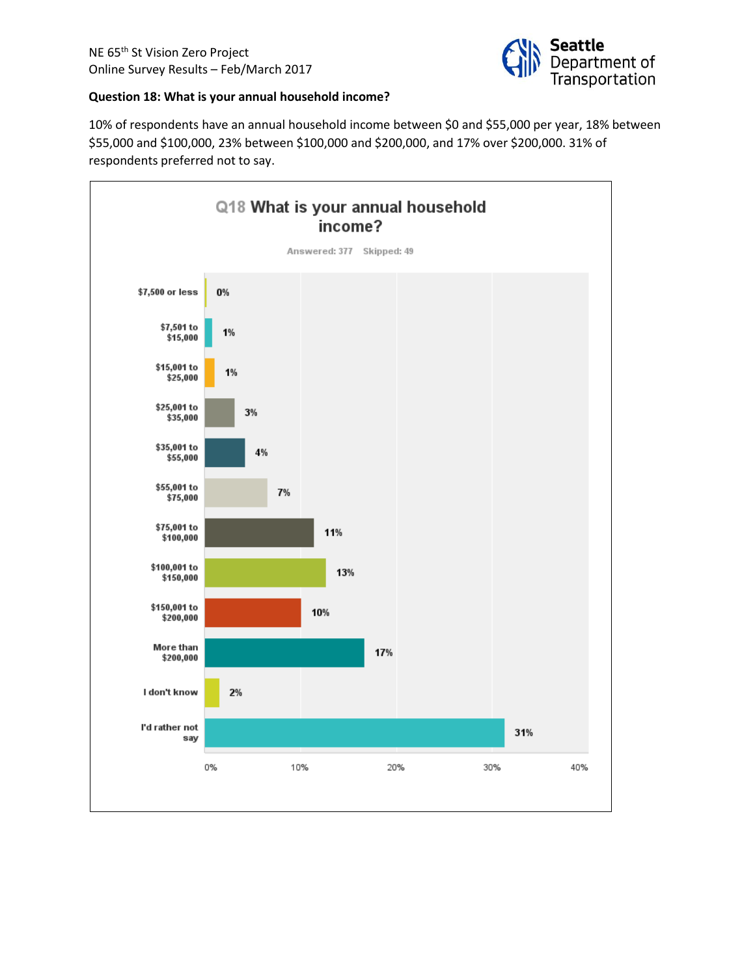

#### **Question 18: What is your annual household income?**

10% of respondents have an annual household income between \$0 and \$55,000 per year, 18% between \$55,000 and \$100,000, 23% between \$100,000 and \$200,000, and 17% over \$200,000. 31% of respondents preferred not to say.